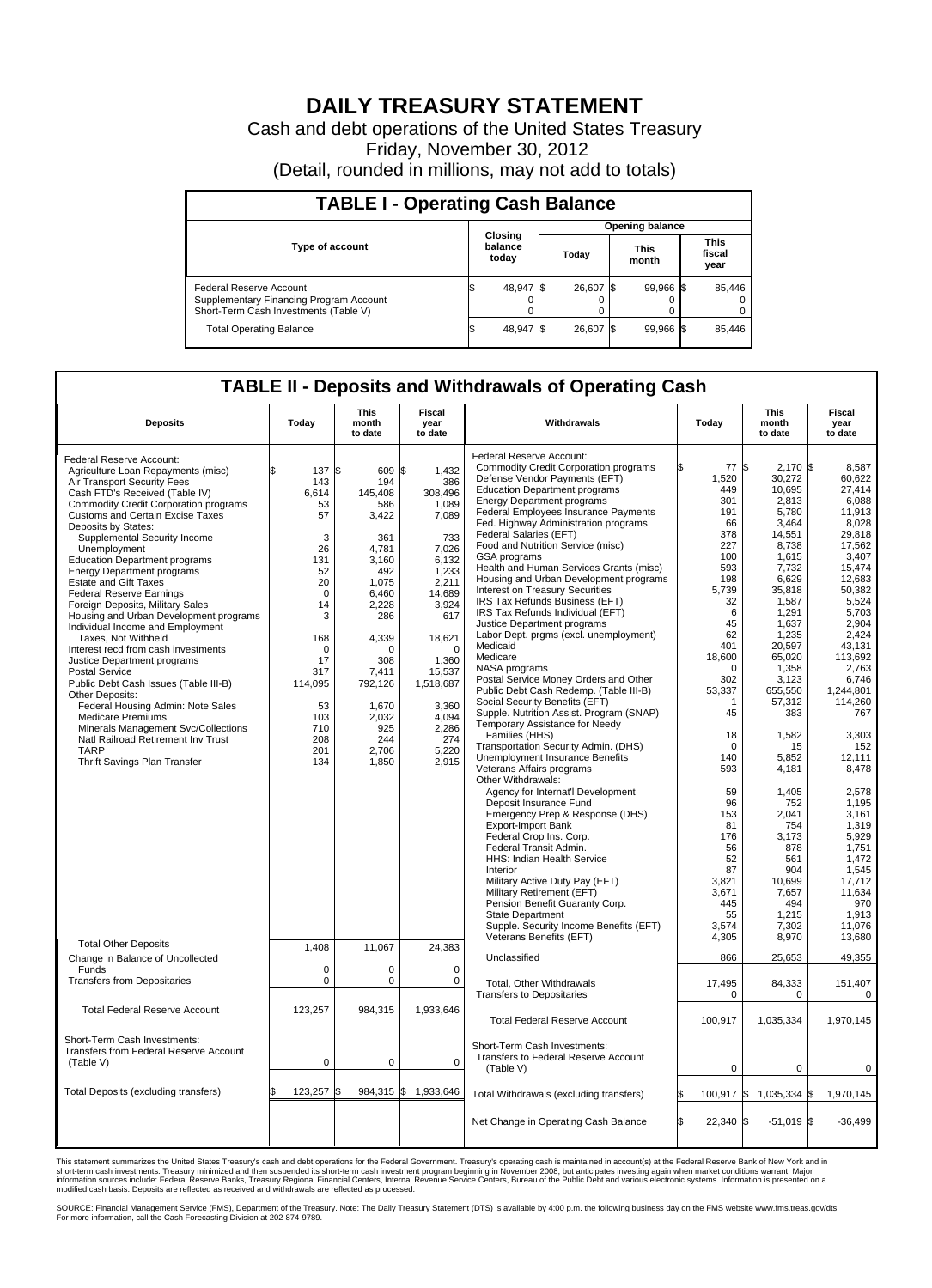## **DAILY TREASURY STATEMENT**

Cash and debt operations of the United States Treasury Friday, November 30, 2012 (Detail, rounded in millions, may not add to totals)

| <b>TABLE I - Operating Cash Balance</b>                                                                     |  |                             |       |           |                      |           |                               |        |  |  |
|-------------------------------------------------------------------------------------------------------------|--|-----------------------------|-------|-----------|----------------------|-----------|-------------------------------|--------|--|--|
| <b>Opening balance</b>                                                                                      |  |                             |       |           |                      |           |                               |        |  |  |
| Type of account                                                                                             |  | Closing<br>balance<br>today | Today |           | <b>This</b><br>month |           | <b>This</b><br>fiscal<br>year |        |  |  |
| Federal Reserve Account<br>Supplementary Financing Program Account<br>Short-Term Cash Investments (Table V) |  | 48,947                      |       | 26,607 \$ |                      | 99,966 \$ |                               | 85,446 |  |  |
| <b>Total Operating Balance</b>                                                                              |  | 48,947                      |       | 26,607    |                      | 99,966 \$ |                               | 85,446 |  |  |

## **TABLE II - Deposits and Withdrawals of Operating Cash**

| <b>Deposits</b>                                                | Today       | <b>This</b><br>month<br>to date | <b>Fiscal</b><br>year<br>to date | Withdrawals                                                              | Today             | <b>This</b><br>month<br>to date | <b>Fiscal</b><br>year<br>to date |
|----------------------------------------------------------------|-------------|---------------------------------|----------------------------------|--------------------------------------------------------------------------|-------------------|---------------------------------|----------------------------------|
| Federal Reserve Account:<br>Agriculture Loan Repayments (misc) | 137S<br>l\$ | 609                             | \$<br>1,432                      | Federal Reserve Account:<br><b>Commodity Credit Corporation programs</b> | \$<br>77          | S.<br>$2,170$ \$                | 8.587                            |
| Air Transport Security Fees                                    | 143         | 194                             | 386                              | Defense Vendor Payments (EFT)                                            | 1,520             | 30,272                          | 60,622                           |
| Cash FTD's Received (Table IV)                                 | 6.614       | 145.408                         | 308.496                          | <b>Education Department programs</b>                                     | 449               | 10,695                          | 27,414                           |
| <b>Commodity Credit Corporation programs</b>                   | 53          | 586                             | 1,089                            | <b>Energy Department programs</b>                                        | 301               | 2,813                           | 6,088                            |
| <b>Customs and Certain Excise Taxes</b>                        | 57          | 3,422                           | 7,089                            | Federal Employees Insurance Payments                                     | 191               | 5,780                           | 11,913                           |
| Deposits by States:                                            |             |                                 |                                  | Fed. Highway Administration programs                                     | 66                | 3,464                           | 8,028                            |
| Supplemental Security Income                                   | 3           | 361                             | 733                              | Federal Salaries (EFT)                                                   | 378               | 14,551                          | 29,818                           |
| Unemployment                                                   | 26          | 4,781                           | 7,026                            | Food and Nutrition Service (misc)                                        | 227               | 8,738                           | 17,562                           |
| <b>Education Department programs</b>                           | 131         | 3,160                           | 6,132                            | GSA programs                                                             | 100               | 1,615                           | 3,407                            |
| <b>Energy Department programs</b>                              | 52          | 492                             | 1,233                            | Health and Human Services Grants (misc)                                  | 593               | 7,732                           | 15,474                           |
| <b>Estate and Gift Taxes</b>                                   | 20          | 1,075                           | 2,211                            | Housing and Urban Development programs                                   | 198               | 6,629                           | 12,683                           |
| <b>Federal Reserve Earnings</b>                                | $\mathbf 0$ | 6,460                           | 14,689                           | Interest on Treasury Securities                                          | 5,739             | 35,818                          | 50,382                           |
| Foreign Deposits, Military Sales                               | 14          | 2,228                           | 3,924                            | IRS Tax Refunds Business (EFT)                                           | 32                | 1,587                           | 5,524                            |
| Housing and Urban Development programs                         | 3           | 286                             | 617                              | IRS Tax Refunds Individual (EFT)                                         | 6                 | 1,291                           | 5,703                            |
| Individual Income and Employment                               |             |                                 |                                  | Justice Department programs                                              | 45                | 1,637                           | 2,904                            |
| Taxes. Not Withheld                                            | 168         | 4,339                           | 18,621                           | Labor Dept. prgms (excl. unemployment)                                   | 62                | 1,235                           | 2,424                            |
| Interest recd from cash investments                            | 0           | 0                               | $\mathbf 0$                      | Medicaid                                                                 | 401               | 20.597                          | 43.131                           |
| Justice Department programs                                    | 17          | 308                             | 1,360                            | Medicare                                                                 | 18,600            | 65,020                          | 113,692                          |
| <b>Postal Service</b>                                          | 317         | 7,411                           | 15,537                           | NASA programs                                                            | $\Omega$          | 1.358                           | 2.763                            |
| Public Debt Cash Issues (Table III-B)                          | 114,095     | 792,126                         | 1,518,687                        | Postal Service Money Orders and Other                                    | 302               | 3,123                           | 6,746                            |
| Other Deposits:                                                |             |                                 |                                  | Public Debt Cash Redemp. (Table III-B)                                   | 53,337            | 655,550                         | 1,244,801                        |
| Federal Housing Admin: Note Sales                              | 53          | 1,670                           | 3,360                            | Social Security Benefits (EFT)                                           | $\overline{1}$    | 57,312                          | 114,260                          |
| <b>Medicare Premiums</b>                                       | 103         | 2,032                           | 4,094                            | Supple. Nutrition Assist. Program (SNAP)                                 | 45                | 383                             | 767                              |
| Minerals Management Svc/Collections                            | 710         | 925                             | 2,286                            | Temporary Assistance for Needy                                           |                   |                                 |                                  |
| Natl Railroad Retirement Inv Trust                             | 208         | 244                             | 274                              | Families (HHS)                                                           | 18                | 1,582                           | 3,303                            |
| <b>TARP</b>                                                    | 201         | 2,706                           | 5,220                            | Transportation Security Admin. (DHS)                                     | $\Omega$          | 15                              | 152                              |
| Thrift Savings Plan Transfer                                   | 134         | 1,850                           | 2,915                            | Unemployment Insurance Benefits                                          | 140               | 5,852                           | 12.111                           |
|                                                                |             |                                 |                                  | Veterans Affairs programs                                                | 593               | 4,181                           | 8,478                            |
|                                                                |             |                                 |                                  | Other Withdrawals:                                                       |                   |                                 |                                  |
|                                                                |             |                                 |                                  | Agency for Internat'l Development                                        | 59                | 1,405                           | 2,578                            |
|                                                                |             |                                 |                                  | Deposit Insurance Fund                                                   | 96                | 752                             | 1,195                            |
|                                                                |             |                                 |                                  | Emergency Prep & Response (DHS)                                          | 153               | 2,041                           | 3,161                            |
|                                                                |             |                                 |                                  | <b>Export-Import Bank</b>                                                | 81                | 754                             | 1,319                            |
|                                                                |             |                                 |                                  | Federal Crop Ins. Corp.                                                  | 176               | 3,173                           | 5,929                            |
|                                                                |             |                                 |                                  | Federal Transit Admin.                                                   | 56                | 878                             | 1,751                            |
|                                                                |             |                                 |                                  | HHS: Indian Health Service                                               | 52<br>87          | 561<br>904                      | 1,472                            |
|                                                                |             |                                 |                                  | Interior                                                                 |                   |                                 | 1,545<br>17.712                  |
|                                                                |             |                                 |                                  | Military Active Duty Pay (EFT)<br>Military Retirement (EFT)              | 3,821<br>3,671    | 10,699<br>7,657                 | 11,634                           |
|                                                                |             |                                 |                                  | Pension Benefit Guaranty Corp.                                           | 445               | 494                             | 970                              |
|                                                                |             |                                 |                                  | <b>State Department</b>                                                  | 55                | 1,215                           | 1,913                            |
|                                                                |             |                                 |                                  | Supple. Security Income Benefits (EFT)                                   | 3.574             | 7,302                           | 11,076                           |
|                                                                |             |                                 |                                  | Veterans Benefits (EFT)                                                  | 4,305             | 8,970                           | 13,680                           |
| <b>Total Other Deposits</b>                                    | 1,408       | 11,067                          | 24,383                           |                                                                          |                   |                                 |                                  |
| Change in Balance of Uncollected                               |             |                                 |                                  | Unclassified                                                             | 866               | 25,653                          | 49,355                           |
| Funds                                                          | $\mathbf 0$ | 0                               | $\pmb{0}$                        |                                                                          |                   |                                 |                                  |
| <b>Transfers from Depositaries</b>                             | $\Omega$    | 0                               | $\mathbf 0$                      | <b>Total, Other Withdrawals</b>                                          | 17,495            | 84,333                          | 151,407                          |
|                                                                |             |                                 |                                  | <b>Transfers to Depositaries</b>                                         | 0                 | $\mathbf 0$                     | $\mathbf 0$                      |
|                                                                |             |                                 |                                  |                                                                          |                   |                                 |                                  |
| <b>Total Federal Reserve Account</b>                           | 123,257     | 984,315                         | 1,933,646                        | <b>Total Federal Reserve Account</b>                                     | 100,917           | 1,035,334                       | 1,970,145                        |
|                                                                |             |                                 |                                  |                                                                          |                   |                                 |                                  |
| Short-Term Cash Investments:                                   |             |                                 |                                  |                                                                          |                   |                                 |                                  |
| <b>Transfers from Federal Reserve Account</b>                  |             |                                 |                                  | Short-Term Cash Investments:                                             |                   |                                 |                                  |
| (Table V)                                                      | $\pmb{0}$   | $\mathbf 0$                     | $\mathbf 0$                      | Transfers to Federal Reserve Account                                     |                   |                                 |                                  |
|                                                                |             |                                 |                                  | (Table V)                                                                | 0                 | $\mathbf 0$                     | 0                                |
|                                                                |             |                                 |                                  |                                                                          |                   |                                 |                                  |
| Total Deposits (excluding transfers)                           | 123,257     | 984,315 \$<br>\$                | 1,933,646                        | Total Withdrawals (excluding transfers)                                  |                   | 100,917 \$ 1,035,334 \$         | 1,970,145                        |
|                                                                |             |                                 |                                  |                                                                          |                   |                                 |                                  |
|                                                                |             |                                 |                                  | Net Change in Operating Cash Balance                                     | \$<br>$22,340$ \$ | $-51,019$ \$                    | $-36,499$                        |
|                                                                |             |                                 |                                  |                                                                          |                   |                                 |                                  |
|                                                                |             |                                 |                                  |                                                                          |                   |                                 |                                  |

This statement summarizes the United States Treasury's cash and debt operations for the Federal Government. Treasury's operating cash is maintained in account(s) at the Federal Reserve Bank of New York and in<br>short-term ca

SOURCE: Financial Management Service (FMS), Department of the Treasury. Note: The Daily Treasury Statement (DTS) is available by 4:00 p.m. the following business day on the FMS website www.fms.treas.gov/dts.<br>For more infor